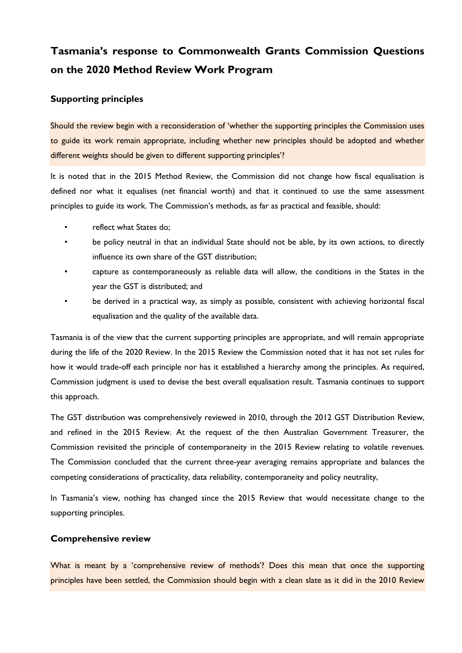# **Tasmania's response to Commonwealth Grants Commission Questions on the 2020 Method Review Work Program**

# **Supporting principles**

Should the review begin with a reconsideration of 'whether the supporting principles the Commission uses to guide its work remain appropriate, including whether new principles should be adopted and whether different weights should be given to different supporting principles'?

It is noted that in the 2015 Method Review, the Commission did not change how fiscal equalisation is defined nor what it equalises (net financial worth) and that it continued to use the same assessment principles to guide its work. The Commission's methods, as far as practical and feasible, should:

- reflect what States do;
- be policy neutral in that an individual State should not be able, by its own actions, to directly influence its own share of the GST distribution;
- capture as contemporaneously as reliable data will allow, the conditions in the States in the year the GST is distributed; and
- be derived in a practical way, as simply as possible, consistent with achieving horizontal fiscal equalisation and the quality of the available data.

Tasmania is of the view that the current supporting principles are appropriate, and will remain appropriate during the life of the 2020 Review. In the 2015 Review the Commission noted that it has not set rules for how it would trade-off each principle nor has it established a hierarchy among the principles. As required, Commission judgment is used to devise the best overall equalisation result. Tasmania continues to support this approach.

The GST distribution was comprehensively reviewed in 2010, through the 2012 GST Distribution Review, and refined in the 2015 Review. At the request of the then Australian Government Treasurer, the Commission revisited the principle of contemporaneity in the 2015 Review relating to volatile revenues. The Commission concluded that the current three-year averaging remains appropriate and balances the competing considerations of practicality, data reliability, contemporaneity and policy neutrality,

In Tasmania's view, nothing has changed since the 2015 Review that would necessitate change to the supporting principles.

## **Comprehensive review**

What is meant by a 'comprehensive review of methods'? Does this mean that once the supporting principles have been settled, the Commission should begin with a clean slate as it did in the 2010 Review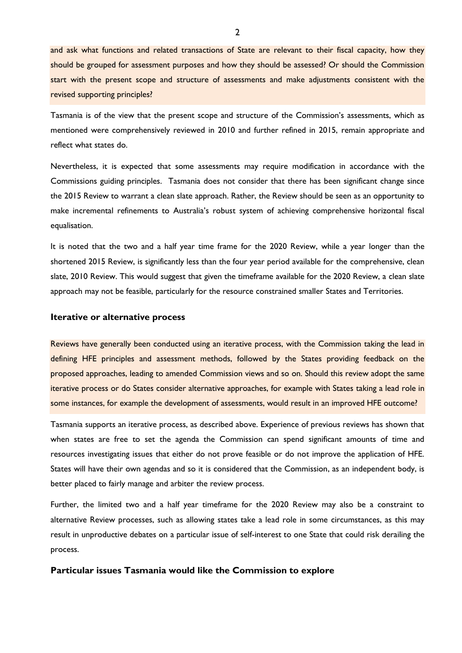and ask what functions and related transactions of State are relevant to their fiscal capacity, how they should be grouped for assessment purposes and how they should be assessed? Or should the Commission start with the present scope and structure of assessments and make adjustments consistent with the revised supporting principles?

Tasmania is of the view that the present scope and structure of the Commission's assessments, which as mentioned were comprehensively reviewed in 2010 and further refined in 2015, remain appropriate and reflect what states do.

Nevertheless, it is expected that some assessments may require modification in accordance with the Commissions guiding principles. Tasmania does not consider that there has been significant change since the 2015 Review to warrant a clean slate approach. Rather, the Review should be seen as an opportunity to make incremental refinements to Australia's robust system of achieving comprehensive horizontal fiscal equalisation.

It is noted that the two and a half year time frame for the 2020 Review, while a year longer than the shortened 2015 Review, is significantly less than the four year period available for the comprehensive, clean slate, 2010 Review. This would suggest that given the timeframe available for the 2020 Review, a clean slate approach may not be feasible, particularly for the resource constrained smaller States and Territories.

## **Iterative or alternative process**

Reviews have generally been conducted using an iterative process, with the Commission taking the lead in defining HFE principles and assessment methods, followed by the States providing feedback on the proposed approaches, leading to amended Commission views and so on. Should this review adopt the same iterative process or do States consider alternative approaches, for example with States taking a lead role in some instances, for example the development of assessments, would result in an improved HFE outcome?

Tasmania supports an iterative process, as described above. Experience of previous reviews has shown that when states are free to set the agenda the Commission can spend significant amounts of time and resources investigating issues that either do not prove feasible or do not improve the application of HFE. States will have their own agendas and so it is considered that the Commission, as an independent body, is better placed to fairly manage and arbiter the review process.

Further, the limited two and a half year timeframe for the 2020 Review may also be a constraint to alternative Review processes, such as allowing states take a lead role in some circumstances, as this may result in unproductive debates on a particular issue of self-interest to one State that could risk derailing the process.

## **Particular issues Tasmania would like the Commission to explore**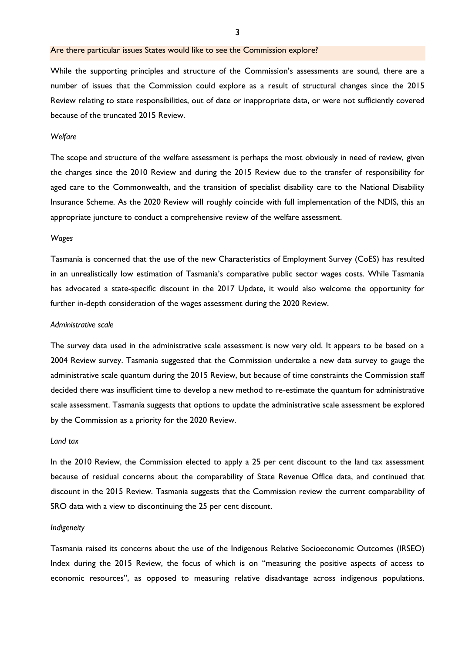## Are there particular issues States would like to see the Commission explore?

While the supporting principles and structure of the Commission's assessments are sound, there are a number of issues that the Commission could explore as a result of structural changes since the 2015 Review relating to state responsibilities, out of date or inappropriate data, or were not sufficiently covered because of the truncated 2015 Review.

#### *Welfare*

The scope and structure of the welfare assessment is perhaps the most obviously in need of review, given the changes since the 2010 Review and during the 2015 Review due to the transfer of responsibility for aged care to the Commonwealth, and the transition of specialist disability care to the National Disability Insurance Scheme. As the 2020 Review will roughly coincide with full implementation of the NDIS, this an appropriate juncture to conduct a comprehensive review of the welfare assessment.

#### *Wages*

Tasmania is concerned that the use of the new Characteristics of Employment Survey (CoES) has resulted in an unrealistically low estimation of Tasmania's comparative public sector wages costs. While Tasmania has advocated a state-specific discount in the 2017 Update, it would also welcome the opportunity for further in-depth consideration of the wages assessment during the 2020 Review.

#### *Administrative scale*

The survey data used in the administrative scale assessment is now very old. It appears to be based on a 2004 Review survey. Tasmania suggested that the Commission undertake a new data survey to gauge the administrative scale quantum during the 2015 Review, but because of time constraints the Commission staff decided there was insufficient time to develop a new method to re-estimate the quantum for administrative scale assessment. Tasmania suggests that options to update the administrative scale assessment be explored by the Commission as a priority for the 2020 Review.

## *Land tax*

In the 2010 Review, the Commission elected to apply a 25 per cent discount to the land tax assessment because of residual concerns about the comparability of State Revenue Office data, and continued that discount in the 2015 Review. Tasmania suggests that the Commission review the current comparability of SRO data with a view to discontinuing the 25 per cent discount.

#### *Indigeneity*

Tasmania raised its concerns about the use of the Indigenous Relative Socioeconomic Outcomes (IRSEO) Index during the 2015 Review, the focus of which is on "measuring the positive aspects of access to economic resources", as opposed to measuring relative disadvantage across indigenous populations.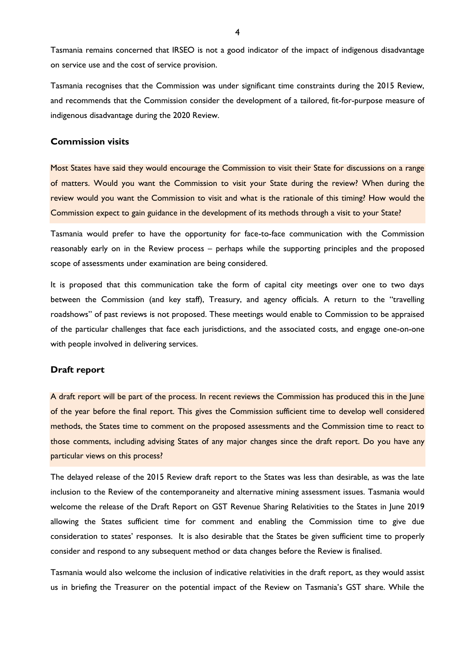Tasmania remains concerned that IRSEO is not a good indicator of the impact of indigenous disadvantage on service use and the cost of service provision.

Tasmania recognises that the Commission was under significant time constraints during the 2015 Review, and recommends that the Commission consider the development of a tailored, fit-for-purpose measure of indigenous disadvantage during the 2020 Review.

## **Commission visits**

Most States have said they would encourage the Commission to visit their State for discussions on a range of matters. Would you want the Commission to visit your State during the review? When during the review would you want the Commission to visit and what is the rationale of this timing? How would the Commission expect to gain guidance in the development of its methods through a visit to your State?

Tasmania would prefer to have the opportunity for face-to-face communication with the Commission reasonably early on in the Review process – perhaps while the supporting principles and the proposed scope of assessments under examination are being considered.

It is proposed that this communication take the form of capital city meetings over one to two days between the Commission (and key staff), Treasury, and agency officials. A return to the "travelling roadshows" of past reviews is not proposed. These meetings would enable to Commission to be appraised of the particular challenges that face each jurisdictions, and the associated costs, and engage one-on-one with people involved in delivering services.

## **Draft report**

A draft report will be part of the process. In recent reviews the Commission has produced this in the June of the year before the final report. This gives the Commission sufficient time to develop well considered methods, the States time to comment on the proposed assessments and the Commission time to react to those comments, including advising States of any major changes since the draft report. Do you have any particular views on this process?

The delayed release of the 2015 Review draft report to the States was less than desirable, as was the late inclusion to the Review of the contemporaneity and alternative mining assessment issues. Tasmania would welcome the release of the Draft Report on GST Revenue Sharing Relativities to the States in June 2019 allowing the States sufficient time for comment and enabling the Commission time to give due consideration to states' responses. It is also desirable that the States be given sufficient time to properly consider and respond to any subsequent method or data changes before the Review is finalised.

Tasmania would also welcome the inclusion of indicative relativities in the draft report, as they would assist us in briefing the Treasurer on the potential impact of the Review on Tasmania's GST share. While the

4